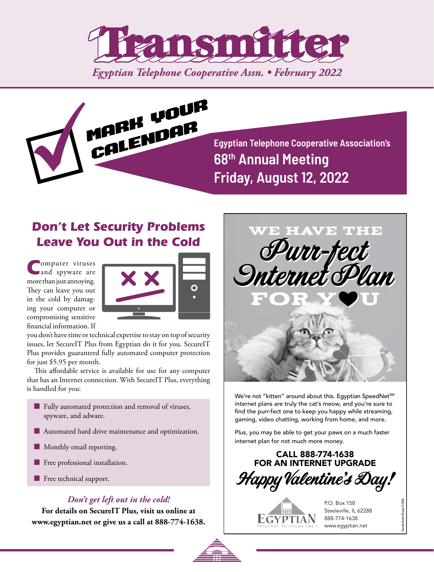



**Egyptian Telephone Cooperative Association's 68th Annual Meeting Friday, August 12, 2022**

## **Don't Let Security Problems** *Leave You Out in the Cold*

Computer viruses more than just annoying. They can leave you out in the cold by damaging your computer or compromising sensitive financial information. If



you don't have time or technical expertise to stay on top of security issues, let SecureIT Plus from Egyptian do it for you. SecureIT Plus provides guaranteed fully automated computer protection for just \$5.95 per month.

This affordable service is available for use for any computer that has an Internet connection. With SecureIT Plus, everything is handled for you:

- **Fully automated protection and removal of viruses,** spyware, and adware.
- **Automated hard drive maintenance and optimization.**
- **Monthly email reporting.**
- **Figure 1** Free professional installation.
- **Free technical support.**

### *Don't get left out in the cold!*

**For details on SecureIT Plus, visit us online at www.egyptian.net or give us a call at 888-774-1638.**



We're not "kitten" around about this. Egyptian SpeedNet<sup>SM</sup> internet plans are truly the cat's meow, and you're sure to find the purr-fect one to keep you happy while streaming, gaming, video chatting, working from home, and more.

Plus, you may be able to get your paws on a much faster internet plan for not much more money.

CALL 888-774-1638 FOR AN INTERNET UPGRADE Happy Valentine's Day!

P.O. Box 158 Steeleville, IL 62288 888-774-1638 www.egyptian.net

Cornerstone Group © 2022

omerstone Group  $@2022$